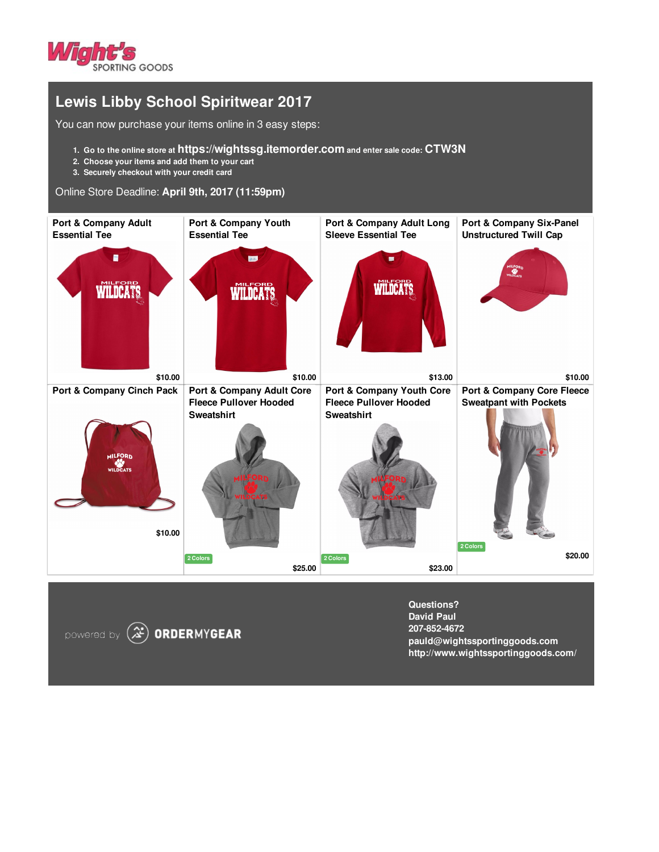

## **Lewis Libby School Spiritwear 2017**

You can now purchase your items online in 3 easy steps:

- **1. Go to the online store at https://wightssg.itemorder.com and enter sale code: CTW3N**
- **2. Choose your items and add them to your cart**
- **3. Securely checkout with your credit card**

## Online Store Deadline: **April 9th, 2017 (11:59pm)**



powered by  $(\mathcal{Z})$  ORDERMYGEAR

**Questions? David Paul 207-852-4672 pauld@wightssportinggoods.com http://www.wightssportinggoods.com/**